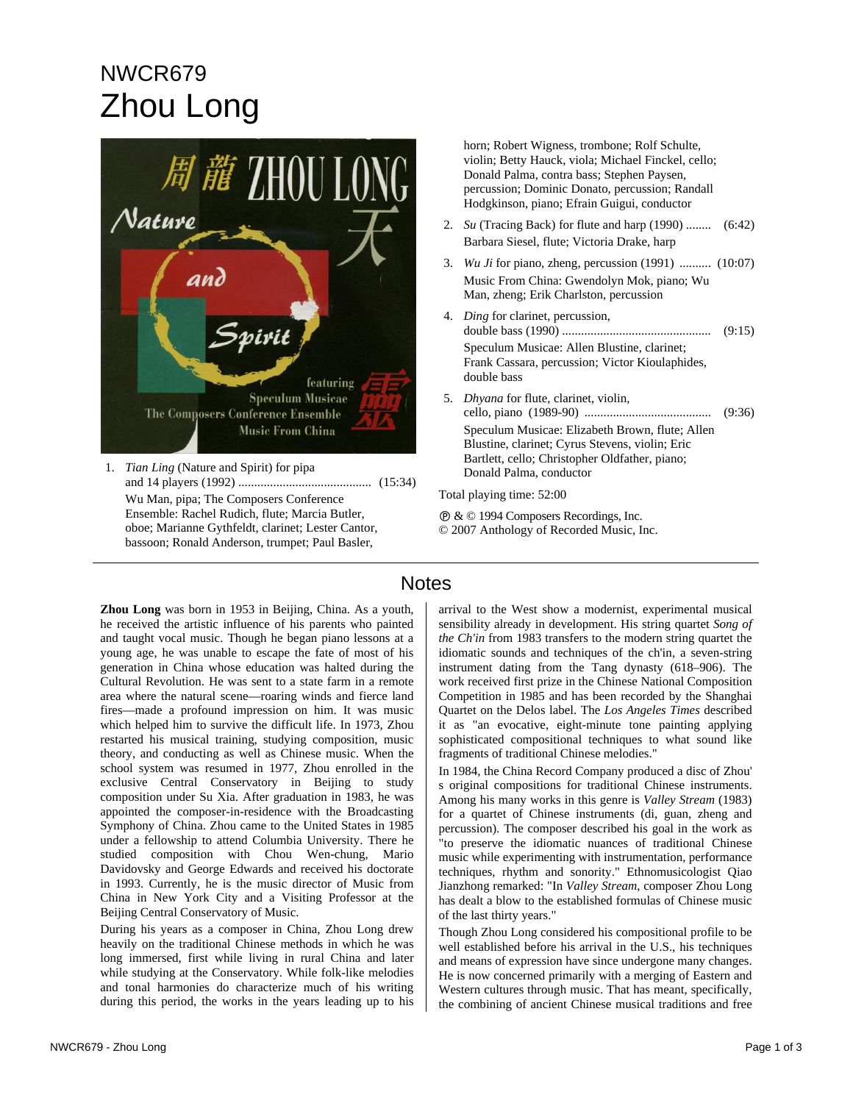## NWCR679 Zhou Long



and 14 players (1992) .......................................... (15:34) Wu Man, pipa; The Composers Conference Ensemble: Rachel Rudich, flute; Marcia Butler, oboe; Marianne Gythfeldt, clarinet; Lester Cantor, bassoon; Ronald Anderson, trumpet; Paul Basler,

horn; Robert Wigness, trombone; Rolf Schulte, violin; Betty Hauck, viola; Michael Finckel, cello; Donald Palma, contra bass; Stephen Paysen, percussion; Dominic Donato, percussion; Randall Hodgkinson, piano; Efrain Guigui, conductor

- 2. *Su* (Tracing Back) for flute and harp (1990) ........ (6:42) Barbara Siesel, flute; Victoria Drake, harp
- 3. *Wu Ji* for piano, zheng, percussion (1991) .......... (10:07) Music From China: Gwendolyn Mok, piano; Wu Man, zheng; Erik Charlston, percussion
- 4. *Ding* for clarinet, percussion, double bass (1990) ............................................... (9:15) Speculum Musicae: Allen Blustine, clarinet; Frank Cassara, percussion; Victor Kioulaphides, double bass
- 5. *Dhyana* for flute, clarinet, violin, cello, piano (1989-90) ........................................ (9:36) Speculum Musicae: Elizabeth Brown, flute; Allen Blustine, clarinet; Cyrus Stevens, violin; Eric Bartlett, cello; Christopher Oldfather, piano; Donald Palma, conductor

Total playing time: 52:00

Ê & © 1994 Composers Recordings, Inc. © 2007 Anthology of Recorded Music, Inc.

**Zhou Long** was born in 1953 in Beijing, China. As a youth, he received the artistic influence of his parents who painted and taught vocal music. Though he began piano lessons at a young age, he was unable to escape the fate of most of his generation in China whose education was halted during the Cultural Revolution. He was sent to a state farm in a remote area where the natural scene—roaring winds and fierce land fires—made a profound impression on him. It was music which helped him to survive the difficult life. In 1973, Zhou restarted his musical training, studying composition, music theory, and conducting as well as Chinese music. When the school system was resumed in 1977, Zhou enrolled in the exclusive Central Conservatory in Beijing to study composition under Su Xia. After graduation in 1983, he was appointed the composer-in-residence with the Broadcasting Symphony of China. Zhou came to the United States in 1985 under a fellowship to attend Columbia University. There he studied composition with Chou Wen-chung, Mario Davidovsky and George Edwards and received his doctorate in 1993. Currently, he is the music director of Music from China in New York City and a Visiting Professor at the Beijing Central Conservatory of Music.

During his years as a composer in China, Zhou Long drew heavily on the traditional Chinese methods in which he was long immersed, first while living in rural China and later while studying at the Conservatory. While folk-like melodies and tonal harmonies do characterize much of his writing during this period, the works in the years leading up to his

## Notes

arrival to the West show a modernist, experimental musical sensibility already in development. His string quartet *Song of the Ch'in* from 1983 transfers to the modern string quartet the idiomatic sounds and techniques of the ch'in, a seven-string instrument dating from the Tang dynasty (618–906). The work received first prize in the Chinese National Composition Competition in 1985 and has been recorded by the Shanghai Quartet on the Delos label. The *Los Angeles Times* described it as "an evocative, eight-minute tone painting applying sophisticated compositional techniques to what sound like fragments of traditional Chinese melodies."

In 1984, the China Record Company produced a disc of Zhou' s original compositions for traditional Chinese instruments. Among his many works in this genre is *Valley Stream* (1983) for a quartet of Chinese instruments (di, guan, zheng and percussion). The composer described his goal in the work as "to preserve the idiomatic nuances of traditional Chinese music while experimenting with instrumentation, performance techniques, rhythm and sonority." Ethnomusicologist Qiao Jianzhong remarked: "In *Valley Stream*, composer Zhou Long has dealt a blow to the established formulas of Chinese music of the last thirty years."

Though Zhou Long considered his compositional profile to be well established before his arrival in the U.S., his techniques and means of expression have since undergone many changes. He is now concerned primarily with a merging of Eastern and Western cultures through music. That has meant, specifically, the combining of ancient Chinese musical traditions and free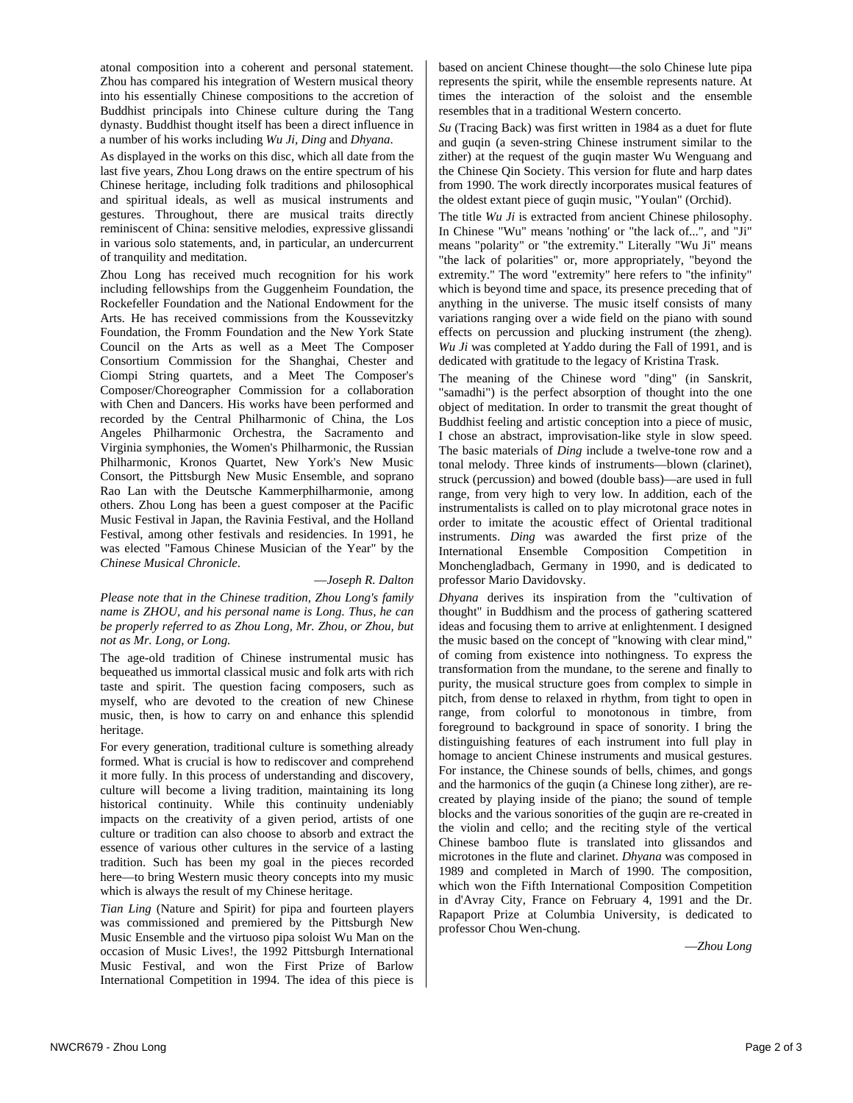atonal composition into a coherent and personal statement. Zhou has compared his integration of Western musical theory into his essentially Chinese compositions to the accretion of Buddhist principals into Chinese culture during the Tang dynasty. Buddhist thought itself has been a direct influence in a number of his works including *Wu Ji, Ding* and *Dhyana*.

As displayed in the works on this disc, which all date from the last five years, Zhou Long draws on the entire spectrum of his Chinese heritage, including folk traditions and philosophical and spiritual ideals, as well as musical instruments and gestures. Throughout, there are musical traits directly reminiscent of China: sensitive melodies, expressive glissandi in various solo statements, and, in particular, an undercurrent of tranquility and meditation.

Zhou Long has received much recognition for his work including fellowships from the Guggenheim Foundation, the Rockefeller Foundation and the National Endowment for the Arts. He has received commissions from the Koussevitzky Foundation, the Fromm Foundation and the New York State Council on the Arts as well as a Meet The Composer Consortium Commission for the Shanghai, Chester and Ciompi String quartets, and a Meet The Composer's Composer/Choreographer Commission for a collaboration with Chen and Dancers. His works have been performed and recorded by the Central Philharmonic of China, the Los Angeles Philharmonic Orchestra, the Sacramento and Virginia symphonies, the Women's Philharmonic, the Russian Philharmonic, Kronos Quartet, New York's New Music Consort, the Pittsburgh New Music Ensemble, and soprano Rao Lan with the Deutsche Kammerphilharmonie, among others. Zhou Long has been a guest composer at the Pacific Music Festival in Japan, the Ravinia Festival, and the Holland Festival, among other festivals and residencies. In 1991, he was elected "Famous Chinese Musician of the Year" by the *Chinese Musical Chronicle*.

## —*Joseph R. Dalton*

*Please note that in the Chinese tradition, Zhou Long's family name is ZHOU, and his personal name is Long. Thus, he can be properly referred to as Zhou Long, Mr. Zhou, or Zhou, but not as Mr. Long, or Long.* 

The age-old tradition of Chinese instrumental music has bequeathed us immortal classical music and folk arts with rich taste and spirit. The question facing composers, such as myself, who are devoted to the creation of new Chinese music, then, is how to carry on and enhance this splendid heritage.

For every generation, traditional culture is something already formed. What is crucial is how to rediscover and comprehend it more fully. In this process of understanding and discovery, culture will become a living tradition, maintaining its long historical continuity. While this continuity undeniably impacts on the creativity of a given period, artists of one culture or tradition can also choose to absorb and extract the essence of various other cultures in the service of a lasting tradition. Such has been my goal in the pieces recorded here—to bring Western music theory concepts into my music which is always the result of my Chinese heritage.

*Tian Ling* (Nature and Spirit) for pipa and fourteen players was commissioned and premiered by the Pittsburgh New Music Ensemble and the virtuoso pipa soloist Wu Man on the occasion of Music Lives!, the 1992 Pittsburgh International Music Festival, and won the First Prize of Barlow International Competition in 1994. The idea of this piece is based on ancient Chinese thought—the solo Chinese lute pipa represents the spirit, while the ensemble represents nature. At times the interaction of the soloist and the ensemble resembles that in a traditional Western concerto.

*Su* (Tracing Back) was first written in 1984 as a duet for flute and guqin (a seven-string Chinese instrument similar to the zither) at the request of the guqin master Wu Wenguang and the Chinese Qin Society. This version for flute and harp dates from 1990. The work directly incorporates musical features of the oldest extant piece of guqin music, "Youlan" (Orchid).

The title *Wu Ji* is extracted from ancient Chinese philosophy. In Chinese "Wu" means 'nothing' or "the lack of...", and "Ji" means "polarity" or "the extremity." Literally "Wu Ji" means "the lack of polarities" or, more appropriately, "beyond the extremity." The word "extremity" here refers to "the infinity" which is beyond time and space, its presence preceding that of anything in the universe. The music itself consists of many variations ranging over a wide field on the piano with sound effects on percussion and plucking instrument (the zheng). *Wu Ji* was completed at Yaddo during the Fall of 1991, and is dedicated with gratitude to the legacy of Kristina Trask.

The meaning of the Chinese word "ding" (in Sanskrit, "samadhi") is the perfect absorption of thought into the one object of meditation. In order to transmit the great thought of Buddhist feeling and artistic conception into a piece of music, I chose an abstract, improvisation-like style in slow speed. The basic materials of *Ding* include a twelve-tone row and a tonal melody. Three kinds of instruments—blown (clarinet), struck (percussion) and bowed (double bass)—are used in full range, from very high to very low. In addition, each of the instrumentalists is called on to play microtonal grace notes in order to imitate the acoustic effect of Oriental traditional instruments. *Ding* was awarded the first prize of the International Ensemble Composition Competition in Monchengladbach, Germany in 1990, and is dedicated to professor Mario Davidovsky.

*Dhyana* derives its inspiration from the "cultivation of thought" in Buddhism and the process of gathering scattered ideas and focusing them to arrive at enlightenment. I designed the music based on the concept of "knowing with clear mind," of coming from existence into nothingness. To express the transformation from the mundane, to the serene and finally to purity, the musical structure goes from complex to simple in pitch, from dense to relaxed in rhythm, from tight to open in range, from colorful to monotonous in timbre, from foreground to background in space of sonority. I bring the distinguishing features of each instrument into full play in homage to ancient Chinese instruments and musical gestures. For instance, the Chinese sounds of bells, chimes, and gongs and the harmonics of the guqin (a Chinese long zither), are recreated by playing inside of the piano; the sound of temple blocks and the various sonorities of the guqin are re-created in the violin and cello; and the reciting style of the vertical Chinese bamboo flute is translated into glissandos and microtones in the flute and clarinet. *Dhyana* was composed in 1989 and completed in March of 1990. The composition, which won the Fifth International Composition Competition in d'Avray City, France on February 4, 1991 and the Dr. Rapaport Prize at Columbia University, is dedicated to professor Chou Wen-chung.

—*Zhou Long*